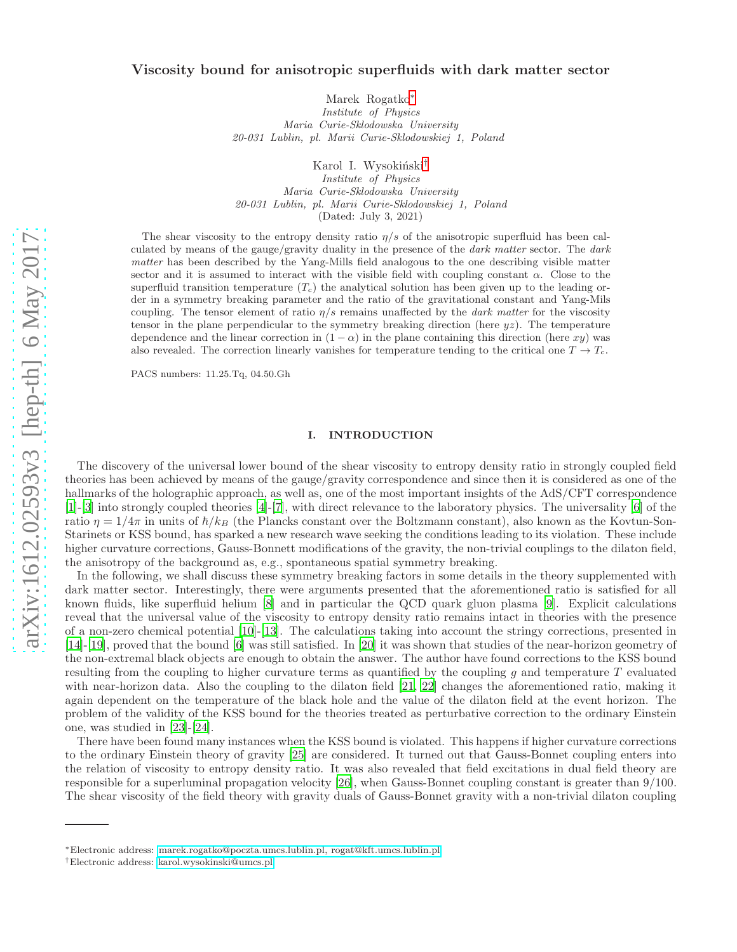## Viscosity bound for anisotropic superfluids with dark matter sector

Marek Rogatko[∗](#page-0-0) Institute of Physics Maria Curie-Sklodowska University 20-031 Lublin, pl. Marii Curie-Sklodowskiej 1, Poland

Karol I. Wysokiński<sup>[†](#page-0-1)</sup>

Institute of Physics Maria Curie-Sklodowska University 20-031 Lublin, pl. Marii Curie-Sklodowskiej 1, Poland (Dated: July 3, 2021)

The shear viscosity to the entropy density ratio  $\eta/s$  of the anisotropic superfluid has been calculated by means of the gauge/gravity duality in the presence of the dark matter sector. The dark matter has been described by the Yang-Mills field analogous to the one describing visible matter sector and it is assumed to interact with the visible field with coupling constant  $\alpha$ . Close to the superfluid transition temperature  $(T_c)$  the analytical solution has been given up to the leading order in a symmetry breaking parameter and the ratio of the gravitational constant and Yang-Mils coupling. The tensor element of ratio  $\eta/s$  remains unaffected by the *dark matter* for the viscosity tensor in the plane perpendicular to the symmetry breaking direction (here  $yz$ ). The temperature dependence and the linear correction in  $(1 - \alpha)$  in the plane containing this direction (here xy) was also revealed. The correction linearly vanishes for temperature tending to the critical one  $T \to T_c$ .

PACS numbers: 11.25.Tq, 04.50.Gh

### I. INTRODUCTION

The discovery of the universal lower bound of the shear viscosity to entropy density ratio in strongly coupled field theories has been achieved by means of the gauge/gravity correspondence and since then it is considered as one of the hallmarks of the holographic approach, as well as, one of the most important insights of the AdS/CFT correspondence [\[1\]](#page-11-0)-[\[3\]](#page-11-1) into strongly coupled theories [\[4\]](#page-11-2)-[\[7\]](#page-11-3), with direct relevance to the laboratory physics. The universality [\[6\]](#page-11-4) of the ratio  $\eta = 1/4\pi$  in units of  $\hbar/k_B$  (the Plancks constant over the Boltzmann constant), also known as the Kovtun-Son-Starinets or KSS bound, has sparked a new research wave seeking the conditions leading to its violation. These include higher curvature corrections, Gauss-Bonnett modifications of the gravity, the non-trivial couplings to the dilaton field, the anisotropy of the background as, e.g., spontaneous spatial symmetry breaking.

In the following, we shall discuss these symmetry breaking factors in some details in the theory supplemented with dark matter sector. Interestingly, there were arguments presented that the aforementioned ratio is satisfied for all known fluids, like superfluid helium [\[8\]](#page-11-5) and in particular the QCD quark gluon plasma [\[9](#page-11-6)]. Explicit calculations reveal that the universal value of the viscosity to entropy density ratio remains intact in theories with the presence of a non-zero chemical potential [\[10\]](#page-11-7)-[\[13\]](#page-11-8). The calculations taking into account the stringy corrections, presented in [\[14\]](#page-11-9)-[\[19\]](#page-11-10), proved that the bound [\[6\]](#page-11-4) was still satisfied. In [\[20](#page-12-0)] it was shown that studies of the near-horizon geometry of the non-extremal black objects are enough to obtain the answer. The author have found corrections to the KSS bound resulting from the coupling to higher curvature terms as quantified by the coupling q and temperature  $T$  evaluated with near-horizon data. Also the coupling to the dilaton field [\[21](#page-12-1), [22\]](#page-12-2) changes the aforementioned ratio, making it again dependent on the temperature of the black hole and the value of the dilaton field at the event horizon. The problem of the validity of the KSS bound for the theories treated as perturbative correction to the ordinary Einstein one, was studied in [\[23\]](#page-12-3)-[\[24](#page-12-4)].

There have been found many instances when the KSS bound is violated. This happens if higher curvature corrections to the ordinary Einstein theory of gravity [\[25\]](#page-12-5) are considered. It turned out that Gauss-Bonnet coupling enters into the relation of viscosity to entropy density ratio. It was also revealed that field excitations in dual field theory are responsible for a superluminal propagation velocity [\[26](#page-12-6)], when Gauss-Bonnet coupling constant is greater than 9/100. The shear viscosity of the field theory with gravity duals of Gauss-Bonnet gravity with a non-trivial dilaton coupling

<span id="page-0-0"></span><sup>∗</sup>Electronic address: [marek.rogatko@poczta.umcs.lublin.pl, rogat@kft.umcs.lublin.pl](mailto:marek.rogatko@poczta.umcs.lublin.pl, rogat@kft.umcs.lublin.pl)

<span id="page-0-1"></span><sup>†</sup>Electronic address: [karol.wysokinski@umcs.pl](mailto:karol.wysokinski@umcs.pl)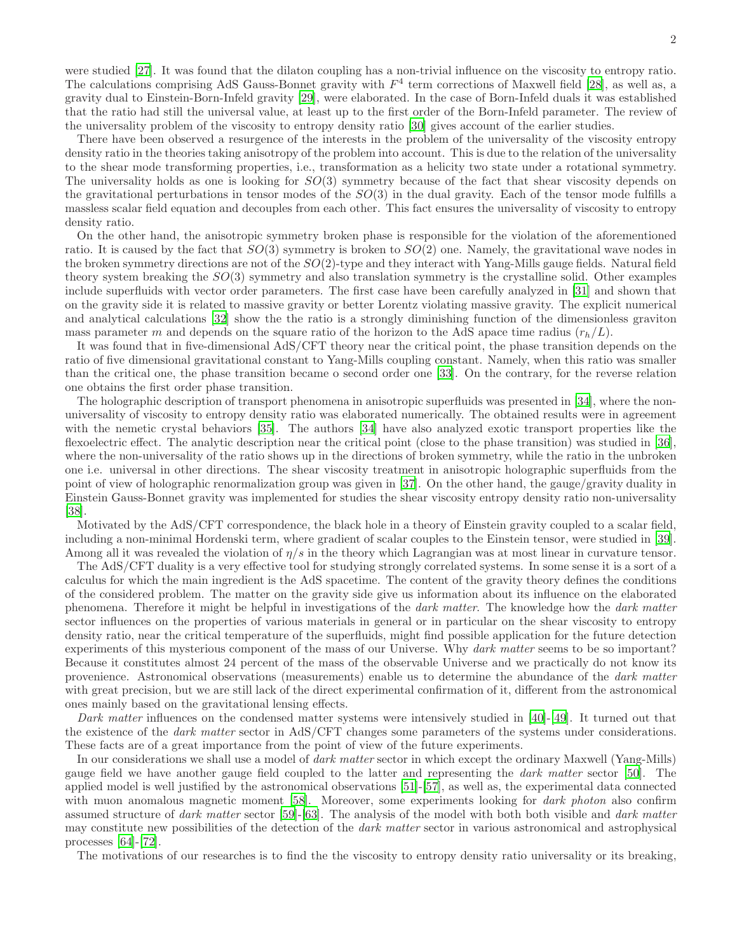were studied [\[27\]](#page-12-7). It was found that the dilaton coupling has a non-trivial influence on the viscosity to entropy ratio. The calculations comprising AdS Gauss-Bonnet gravity with  $F<sup>4</sup>$  term corrections of Maxwell field [\[28\]](#page-12-8), as well as, a gravity dual to Einstein-Born-Infeld gravity [\[29](#page-12-9)], were elaborated. In the case of Born-Infeld duals it was established that the ratio had still the universal value, at least up to the first order of the Born-Infeld parameter. The review of the universality problem of the viscosity to entropy density ratio [\[30\]](#page-12-10) gives account of the earlier studies.

There have been observed a resurgence of the interests in the problem of the universality of the viscosity entropy density ratio in the theories taking anisotropy of the problem into account. This is due to the relation of the universality to the shear mode transforming properties, i.e., transformation as a helicity two state under a rotational symmetry. The universality holds as one is looking for  $SO(3)$  symmetry because of the fact that shear viscosity depends on the gravitational perturbations in tensor modes of the  $SO(3)$  in the dual gravity. Each of the tensor mode fulfills a massless scalar field equation and decouples from each other. This fact ensures the universality of viscosity to entropy density ratio.

On the other hand, the anisotropic symmetry broken phase is responsible for the violation of the aforementioned ratio. It is caused by the fact that  $SO(3)$  symmetry is broken to  $SO(2)$  one. Namely, the gravitational wave nodes in the broken symmetry directions are not of the  $SO(2)$ -type and they interact with Yang-Mills gauge fields. Natural field theory system breaking the  $SO(3)$  symmetry and also translation symmetry is the crystalline solid. Other examples include superfluids with vector order parameters. The first case have been carefully analyzed in [\[31](#page-12-11)] and shown that on the gravity side it is related to massive gravity or better Lorentz violating massive gravity. The explicit numerical and analytical calculations [\[32](#page-12-12)] show the the ratio is a strongly diminishing function of the dimensionless graviton mass parameter m and depends on the square ratio of the horizon to the AdS apace time radius  $(r_h/L)$ .

It was found that in five-dimensional AdS/CFT theory near the critical point, the phase transition depends on the ratio of five dimensional gravitational constant to Yang-Mills coupling constant. Namely, when this ratio was smaller than the critical one, the phase transition became o second order one [\[33](#page-12-13)]. On the contrary, for the reverse relation one obtains the first order phase transition.

The holographic description of transport phenomena in anisotropic superfluids was presented in [\[34\]](#page-12-14), where the nonuniversality of viscosity to entropy density ratio was elaborated numerically. The obtained results were in agreement with the nemetic crystal behaviors [\[35](#page-12-15)]. The authors [\[34\]](#page-12-14) have also analyzed exotic transport properties like the flexoelectric effect. The analytic description near the critical point (close to the phase transition) was studied in [\[36\]](#page-12-16), where the non-universality of the ratio shows up in the directions of broken symmetry, while the ratio in the unbroken one i.e. universal in other directions. The shear viscosity treatment in anisotropic holographic superfluids from the point of view of holographic renormalization group was given in [\[37\]](#page-12-17). On the other hand, the gauge/gravity duality in Einstein Gauss-Bonnet gravity was implemented for studies the shear viscosity entropy density ratio non-universality [\[38\]](#page-12-18).

Motivated by the AdS/CFT correspondence, the black hole in a theory of Einstein gravity coupled to a scalar field, including a non-minimal Hordenski term, where gradient of scalar couples to the Einstein tensor, were studied in [\[39\]](#page-12-19). Among all it was revealed the violation of  $\eta/s$  in the theory which Lagrangian was at most linear in curvature tensor.

The AdS/CFT duality is a very effective tool for studying strongly correlated systems. In some sense it is a sort of a calculus for which the main ingredient is the AdS spacetime. The content of the gravity theory defines the conditions of the considered problem. The matter on the gravity side give us information about its influence on the elaborated phenomena. Therefore it might be helpful in investigations of the dark matter. The knowledge how the dark matter sector influences on the properties of various materials in general or in particular on the shear viscosity to entropy density ratio, near the critical temperature of the superfluids, might find possible application for the future detection experiments of this mysterious component of the mass of our Universe. Why *dark matter* seems to be so important? Because it constitutes almost 24 percent of the mass of the observable Universe and we practically do not know its provenience. Astronomical observations (measurements) enable us to determine the abundance of the dark matter with great precision, but we are still lack of the direct experimental confirmation of it, different from the astronomical ones mainly based on the gravitational lensing effects.

Dark matter influences on the condensed matter systems were intensively studied in [\[40\]](#page-12-20)-[\[49\]](#page-12-21). It turned out that the existence of the dark matter sector in AdS/CFT changes some parameters of the systems under considerations. These facts are of a great importance from the point of view of the future experiments.

In our considerations we shall use a model of *dark matter* sector in which except the ordinary Maxwell (Yang-Mills) gauge field we have another gauge field coupled to the latter and representing the dark matter sector [\[50](#page-12-22)]. The applied model is well justified by the astronomical observations [\[51](#page-12-23)]-[\[57\]](#page-12-24), as well as, the experimental data connected with muon anomalous magnetic moment [\[58](#page-13-0)]. Moreover, some experiments looking for *dark photon* also confirm assumed structure of dark matter sector [\[59\]](#page-13-1)-[\[63\]](#page-13-2). The analysis of the model with both both visible and dark matter may constitute new possibilities of the detection of the dark matter sector in various astronomical and astrophysical processes [\[64\]](#page-13-3)-[\[72\]](#page-13-4).

The motivations of our researches is to find the the viscosity to entropy density ratio universality or its breaking,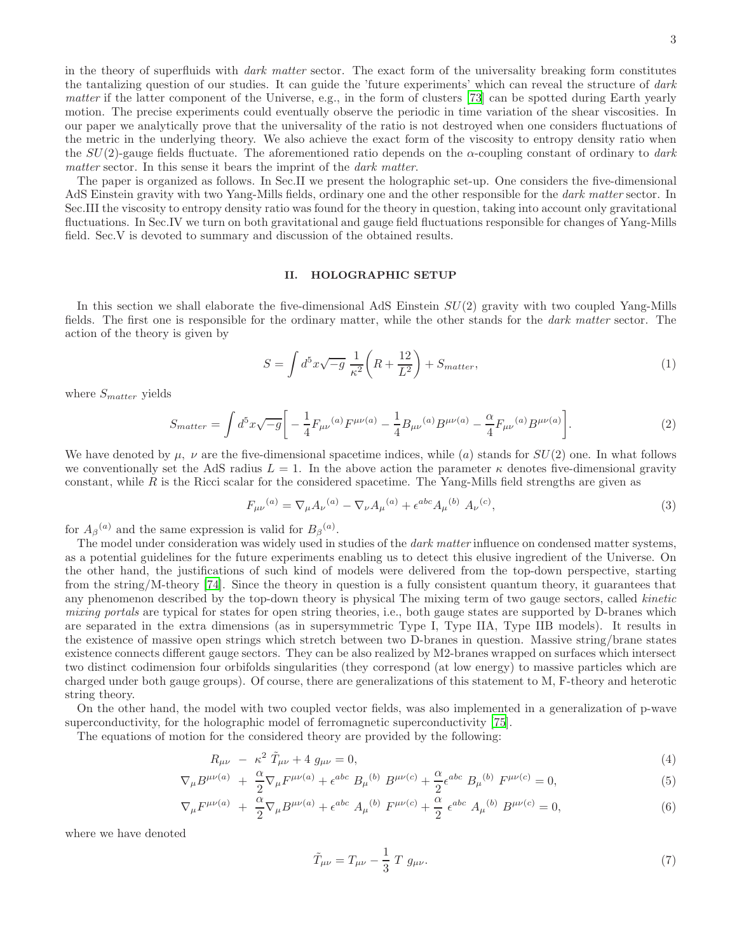in the theory of superfluids with *dark matter* sector. The exact form of the universality breaking form constitutes the tantalizing question of our studies. It can guide the 'future experiments' which can reveal the structure of dark matter if the latter component of the Universe, e.g., in the form of clusters [\[73](#page-13-5)] can be spotted during Earth yearly motion. The precise experiments could eventually observe the periodic in time variation of the shear viscosities. In our paper we analytically prove that the universality of the ratio is not destroyed when one considers fluctuations of the metric in the underlying theory. We also achieve the exact form of the viscosity to entropy density ratio when the  $SU(2)$ -gauge fields fluctuate. The aforementioned ratio depends on the  $\alpha$ -coupling constant of ordinary to dark matter sector. In this sense it bears the imprint of the *dark matter*.

The paper is organized as follows. In Sec.II we present the holographic set-up. One considers the five-dimensional AdS Einstein gravity with two Yang-Mills fields, ordinary one and the other responsible for the dark matter sector. In Sec.III the viscosity to entropy density ratio was found for the theory in question, taking into account only gravitational fluctuations. In Sec.IV we turn on both gravitational and gauge field fluctuations responsible for changes of Yang-Mills field. Sec.V is devoted to summary and discussion of the obtained results.

### II. HOLOGRAPHIC SETUP

In this section we shall elaborate the five-dimensional AdS Einstein SU(2) gravity with two coupled Yang-Mills fields. The first one is responsible for the ordinary matter, while the other stands for the dark matter sector. The action of the theory is given by

$$
S = \int d^5 x \sqrt{-g} \frac{1}{\kappa^2} \left( R + \frac{12}{L^2} \right) + S_{matter}, \qquad (1)
$$

where  $S_{matter}$  yields

$$
S_{matter} = \int d^5 x \sqrt{-g} \left[ -\frac{1}{4} F_{\mu\nu}{}^{(a)} F^{\mu\nu(a)} - \frac{1}{4} B_{\mu\nu}{}^{(a)} B^{\mu\nu(a)} - \frac{\alpha}{4} F_{\mu\nu}{}^{(a)} B^{\mu\nu(a)} \right]. \tag{2}
$$

We have denoted by  $\mu$ ,  $\nu$  are the five-dimensional spacetime indices, while (a) stands for  $SU(2)$  one. In what follows we conventionally set the AdS radius  $L = 1$ . In the above action the parameter  $\kappa$  denotes five-dimensional gravity constant, while  $R$  is the Ricci scalar for the considered spacetime. The Yang-Mills field strengths are given as

$$
F_{\mu\nu}{}^{(a)} = \nabla_{\mu} A_{\nu}{}^{(a)} - \nabla_{\nu} A_{\mu}{}^{(a)} + \epsilon^{abc} A_{\mu}{}^{(b)} A_{\nu}{}^{(c)},\tag{3}
$$

for  $A_{\beta}^{(a)}$  and the same expression is valid for  $B_{\beta}^{(a)}$ .

The model under consideration was widely used in studies of the *dark matter* influence on condensed matter systems, as a potential guidelines for the future experiments enabling us to detect this elusive ingredient of the Universe. On the other hand, the justifications of such kind of models were delivered from the top-down perspective, starting from the string/M-theory [\[74\]](#page-13-6). Since the theory in question is a fully consistent quantum theory, it guarantees that any phenomenon described by the top-down theory is physical The mixing term of two gauge sectors, called *kinetic* mixing portals are typical for states for open string theories, i.e., both gauge states are supported by D-branes which are separated in the extra dimensions (as in supersymmetric Type I, Type IIA, Type IIB models). It results in the existence of massive open strings which stretch between two D-branes in question. Massive string/brane states existence connects different gauge sectors. They can be also realized by M2-branes wrapped on surfaces which intersect two distinct codimension four orbifolds singularities (they correspond (at low energy) to massive particles which are charged under both gauge groups). Of course, there are generalizations of this statement to M, F-theory and heterotic string theory.

On the other hand, the model with two coupled vector fields, was also implemented in a generalization of p-wave superconductivity, for the holographic model of ferromagnetic superconductivity [\[75](#page-13-7)].

The equations of motion for the considered theory are provided by the following:

<span id="page-2-0"></span>
$$
R_{\mu\nu} - \kappa^2 \tilde{T}_{\mu\nu} + 4 g_{\mu\nu} = 0, \tag{4}
$$

$$
\nabla_{\mu}B^{\mu\nu(a)} + \frac{\alpha}{2}\nabla_{\mu}F^{\mu\nu(a)} + \epsilon^{abc} B_{\mu}{}^{(b)} B^{\mu\nu(c)} + \frac{\alpha}{2}\epsilon^{abc} B_{\mu}{}^{(b)} F^{\mu\nu(c)} = 0,
$$
\n(5)

$$
\nabla_{\mu} F^{\mu\nu(a)} + \frac{\alpha}{2} \nabla_{\mu} B^{\mu\nu(a)} + \epsilon^{abc} A_{\mu}^{(b)} F^{\mu\nu(c)} + \frac{\alpha}{2} \epsilon^{abc} A_{\mu}^{(b)} B^{\mu\nu(c)} = 0, \tag{6}
$$

where we have denoted

$$
\tilde{T}_{\mu\nu} = T_{\mu\nu} - \frac{1}{3} T g_{\mu\nu}.
$$
\n(7)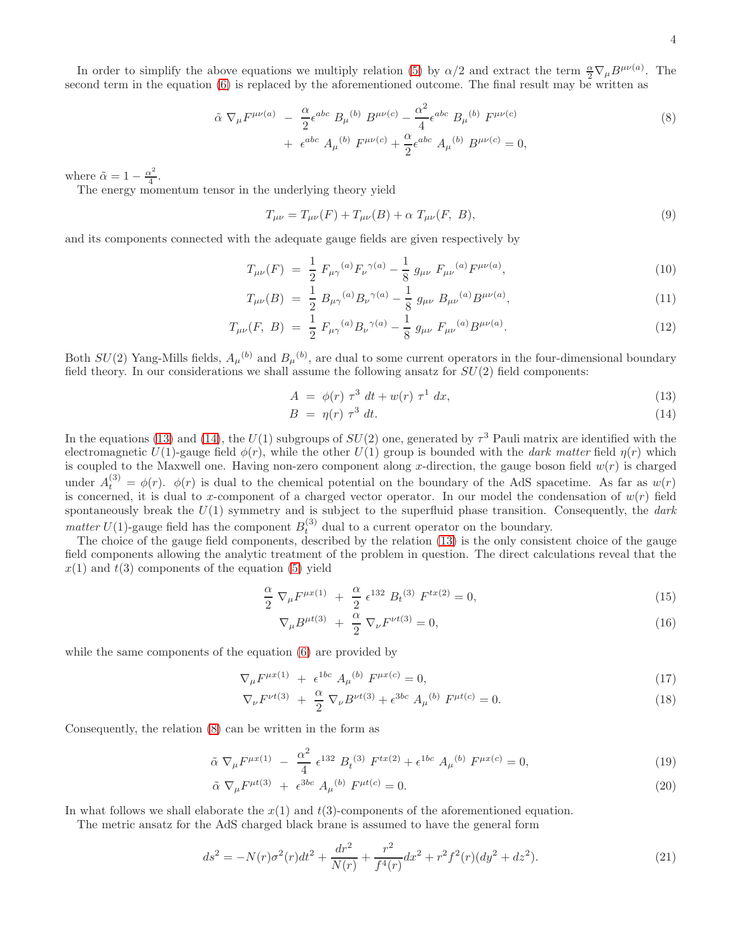In order to simplify the above equations we multiply relation [\(5\)](#page-2-0) by  $\alpha/2$  and extract the term  $\frac{\alpha}{2} \nabla_{\mu} B^{\mu\nu}(a)$ . The second term in the equation [\(6\)](#page-2-0) is replaced by the aforementioned outcome. The final result may be written as

<span id="page-3-1"></span>
$$
\tilde{\alpha} \nabla_{\mu} F^{\mu\nu(a)} - \frac{\alpha}{2} \epsilon^{abc} B_{\mu}{}^{(b)} B^{\mu\nu(c)} - \frac{\alpha^2}{4} \epsilon^{abc} B_{\mu}{}^{(b)} F^{\mu\nu(c)} + \epsilon^{abc} A_{\mu}{}^{(b)} F^{\mu\nu(c)} + \frac{\alpha}{2} \epsilon^{abc} A_{\mu}{}^{(b)} B^{\mu\nu(c)} = 0,
$$
\n(8)

where  $\tilde{\alpha} = 1 - \frac{\alpha^2}{4}$  $\frac{x^2}{4}$ .

The energy momentum tensor in the underlying theory yield

$$
T_{\mu\nu} = T_{\mu\nu}(F) + T_{\mu\nu}(B) + \alpha \ T_{\mu\nu}(F, B), \tag{9}
$$

and its components connected with the adequate gauge fields are given respectively by

$$
T_{\mu\nu}(F) = \frac{1}{2} F_{\mu\gamma}{}^{(a)} F_{\nu}{}^{\gamma(a)} - \frac{1}{8} g_{\mu\nu} F_{\mu\nu}{}^{(a)} F^{\mu\nu(a)}, \tag{10}
$$

$$
T_{\mu\nu}(B) = \frac{1}{2} B_{\mu\gamma}{}^{(a)} B_{\nu}{}^{\gamma(a)} - \frac{1}{8} g_{\mu\nu} B_{\mu\nu}{}^{(a)} B^{\mu\nu(a)}, \tag{11}
$$

$$
T_{\mu\nu}(F, B) = \frac{1}{2} F_{\mu\gamma}{}^{(a)} B_{\nu}{}^{\gamma(a)} - \frac{1}{8} g_{\mu\nu} F_{\mu\nu}{}^{(a)} B^{\mu\nu(a)}.
$$
 (12)

Both  $SU(2)$  Yang-Mills fields,  $A_\mu{}^{(b)}$  and  $B_\mu{}^{(b)}$ , are dual to some current operators in the four-dimensional boundary field theory. In our considerations we shall assume the following ansatz for  $SU(2)$  field components:

<span id="page-3-0"></span>
$$
A = \phi(r) \tau^3 dt + w(r) \tau^1 dx,
$$
\n(13)

$$
B = \eta(r) \tau^3 dt. \tag{14}
$$

In the equations [\(13\)](#page-3-0) and [\(14\)](#page-3-0), the  $U(1)$  subgroups of  $SU(2)$  one, generated by  $\tau^3$  Pauli matrix are identified with the electromagnetic  $U(1)$ -gauge field  $\phi(r)$ , while the other  $U(1)$  group is bounded with the *dark matter* field  $\eta(r)$  which is coupled to the Maxwell one. Having non-zero component along x-direction, the gauge boson field  $w(r)$  is charged under  $A_t^{(3)} = \phi(r)$ .  $\phi(r)$  is dual to the chemical potential on the boundary of the AdS spacetime. As far as  $w(r)$ is concerned, it is dual to x-component of a charged vector operator. In our model the condensation of  $w(r)$  field spontaneously break the  $U(1)$  symmetry and is subject to the superfluid phase transition. Consequently, the dark matter U(1)-gauge field has the component  $B_t^{(3)}$  dual to a current operator on the boundary.

The choice of the gauge field components, described by the relation [\(13\)](#page-3-0) is the only consistent choice of the gauge field components allowing the analytic treatment of the problem in question. The direct calculations reveal that the  $x(1)$  and  $t(3)$  components of the equation [\(5\)](#page-2-0) yield

$$
\frac{\alpha}{2} \nabla_{\mu} F^{\mu x(1)} + \frac{\alpha}{2} \epsilon^{132} B_t^{(3)} F^{tx(2)} = 0,
$$
\n(15)

$$
\nabla_{\mu}B^{\mu t(3)} + \frac{\alpha}{2} \nabla_{\nu}F^{\nu t(3)} = 0, \qquad (16)
$$

while the same components of the equation [\(6\)](#page-2-0) are provided by

$$
\nabla_{\mu} F^{\mu x(1)} + \epsilon^{1bc} A_{\mu}{}^{(b)} F^{\mu x(c)} = 0, \qquad (17)
$$

$$
\nabla_{\nu} F^{\nu t(3)} + \frac{\alpha}{2} \nabla_{\nu} B^{\nu t(3)} + \epsilon^{3bc} A_{\mu}^{(b)} F^{\mu t(c)} = 0.
$$
 (18)

Consequently, the relation [\(8\)](#page-3-1) can be written in the form as

<span id="page-3-2"></span>
$$
\tilde{\alpha} \nabla_{\mu} F^{\mu x(1)} - \frac{\alpha^2}{4} \epsilon^{132} B_t^{(3)} F^{tx(2)} + \epsilon^{1bc} A_{\mu}^{(b)} F^{\mu x(c)} = 0, \qquad (19)
$$

$$
\tilde{\alpha} \nabla_{\mu} F^{\mu t(3)} + \epsilon^{3bc} A_{\mu}{}^{(b)} F^{\mu t(c)} = 0.
$$
\n(20)

In what follows we shall elaborate the  $x(1)$  and  $t(3)$ -components of the aforementioned equation.

The metric ansatz for the AdS charged black brane is assumed to have the general form

$$
ds^{2} = -N(r)\sigma^{2}(r)dt^{2} + \frac{dr^{2}}{N(r)} + \frac{r^{2}}{f^{4}(r)}dx^{2} + r^{2}f^{2}(r)(dy^{2} + dz^{2}).
$$
\n(21)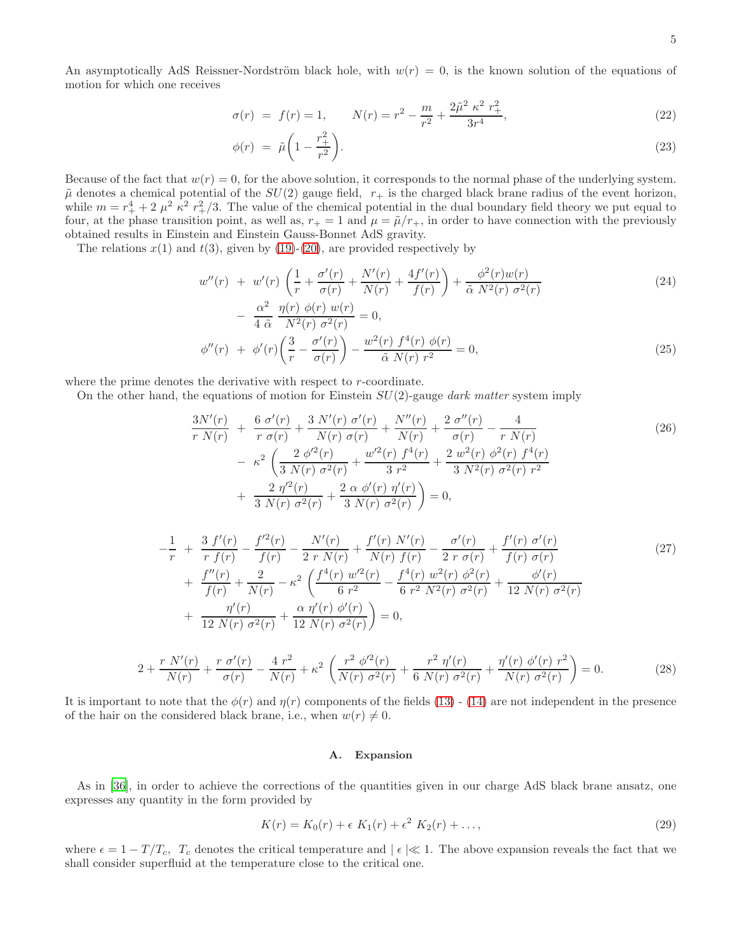An asymptotically AdS Reissner-Nordström black hole, with  $w(r) = 0$ , is the known solution of the equations of motion for which one receives

<span id="page-4-0"></span>
$$
\sigma(r) = f(r) = 1, \qquad N(r) = r^2 - \frac{m}{r^2} + \frac{2\tilde{\mu}^2 \kappa^2 r_+^2}{3r^4}, \tag{22}
$$

$$
\phi(r) = \tilde{\mu} \left( 1 - \frac{r_+^2}{r^2} \right). \tag{23}
$$

Because of the fact that  $w(r) = 0$ , for the above solution, it corresponds to the normal phase of the underlying system.  $\tilde{\mu}$  denotes a chemical potential of the  $SU(2)$  gauge field,  $r_{+}$  is the charged black brane radius of the event horizon, while  $m = r_+^4 + 2 \mu^2 \kappa^2 r_+^2/3$ . The value of the chemical potential in the dual boundary field theory we put equal to four, at the phase transition point, as well as,  $r_+ = 1$  and  $\mu = \tilde{\mu}/r_+$ , in order to have connection with the previously obtained results in Einstein and Einstein Gauss-Bonnet AdS gravity.

The relations  $x(1)$  and  $t(3)$ , given by [\(19\)](#page-3-2)-[\(20\)](#page-3-2), are provided respectively by

$$
w''(r) + w'(r)\left(\frac{1}{r} + \frac{\sigma'(r)}{\sigma(r)} + \frac{N'(r)}{N(r)} + \frac{4f'(r)}{f(r)}\right) + \frac{\phi^2(r)w(r)}{\tilde{\alpha} N^2(r)\sigma^2(r)}
$$
  

$$
-\frac{\alpha^2}{4\tilde{\alpha}} \frac{\eta(r)\phi(r)w(r)}{N^2(r)\sigma^2(r)} = 0,
$$
 (24)

$$
\phi''(r) + \phi'(r) \left( \frac{3}{r} - \frac{\sigma'(r)}{\sigma(r)} \right) - \frac{w^2(r) f^4(r) \phi(r)}{\tilde{\alpha} N(r) r^2} = 0,
$$
\n(25)

where the prime denotes the derivative with respect to r-coordinate.

On the other hand, the equations of motion for Einstein  $SU(2)$ -gauge dark matter system imply

$$
\frac{3N'(r)}{r N(r)} + \frac{6 \sigma'(r)}{r \sigma(r)} + \frac{3 N'(r) \sigma'(r)}{N(r) \sigma(r)} + \frac{N''(r)}{N(r)} + \frac{2 \sigma''(r)}{\sigma(r)} - \frac{4}{r N(r)} \n- \kappa^2 \left( \frac{2 \phi'^2(r)}{3 N(r) \sigma^2(r)} + \frac{w'^2(r) f^4(r)}{3 r^2} + \frac{2 w^2(r) \phi^2(r) f^4(r)}{3 N^2(r) \sigma^2(r) r^2} + \frac{2 \eta'^2(r)}{3 N(r) \sigma^2(r)} + \frac{2 \alpha \phi'(r) \eta'(r)}{3 N(r) \sigma^2(r)} \right) = 0,
$$
\n(26)

$$
-\frac{1}{r} + \frac{3 f'(r)}{r f(r)} - \frac{f'^2(r)}{f(r)} - \frac{N'(r)}{2 r N(r)} + \frac{f'(r) N'(r)}{N(r) f(r)} - \frac{\sigma'(r)}{2 r \sigma(r)} + \frac{f'(r) \sigma'(r)}{f(r) \sigma(r)} + \frac{f''(r)}{f(r)} + \frac{2}{N(r)} - \kappa^2 \left( \frac{f^4(r) w'^2(r)}{6 r^2} - \frac{f^4(r) w^2(r) \phi^2(r)}{6 r^2 N^2(r) \sigma^2(r)} + \frac{\phi'(r)}{12 N(r) \sigma^2(r)} + \frac{\eta'(r)}{12 N(r) \sigma^2(r)} + \frac{\alpha \eta'(r) \phi'(r)}{12 N(r) \sigma^2(r)} \right) = 0,
$$
(27)

$$
2 + \frac{r N'(r)}{N(r)} + \frac{r \sigma'(r)}{\sigma(r)} - \frac{4 r^2}{N(r)} + \kappa^2 \left( \frac{r^2 \phi'^2(r)}{N(r) \sigma^2(r)} + \frac{r^2 \eta'(r)}{6 N(r) \sigma^2(r)} + \frac{\eta'(r) \phi'(r) r^2}{N(r) \sigma^2(r)} \right) = 0.
$$
 (28)

It is important to note that the  $\phi(r)$  and  $\eta(r)$  components of the fields [\(13\)](#page-3-0) - [\(14\)](#page-3-0) are not independent in the presence of the hair on the considered black brane, i.e., when  $w(r) \neq 0$ .

#### A. Expansion

As in [\[36](#page-12-16)], in order to achieve the corrections of the quantities given in our charge AdS black brane ansatz, one expresses any quantity in the form provided by

$$
K(r) = K_0(r) + \epsilon K_1(r) + \epsilon^2 K_2(r) + \dots,
$$
\n(29)

where  $\epsilon = 1 - T/T_c$ ,  $T_c$  denotes the critical temperature and  $\epsilon \ll 1$ . The above expansion reveals the fact that we shall consider superfluid at the temperature close to the critical one.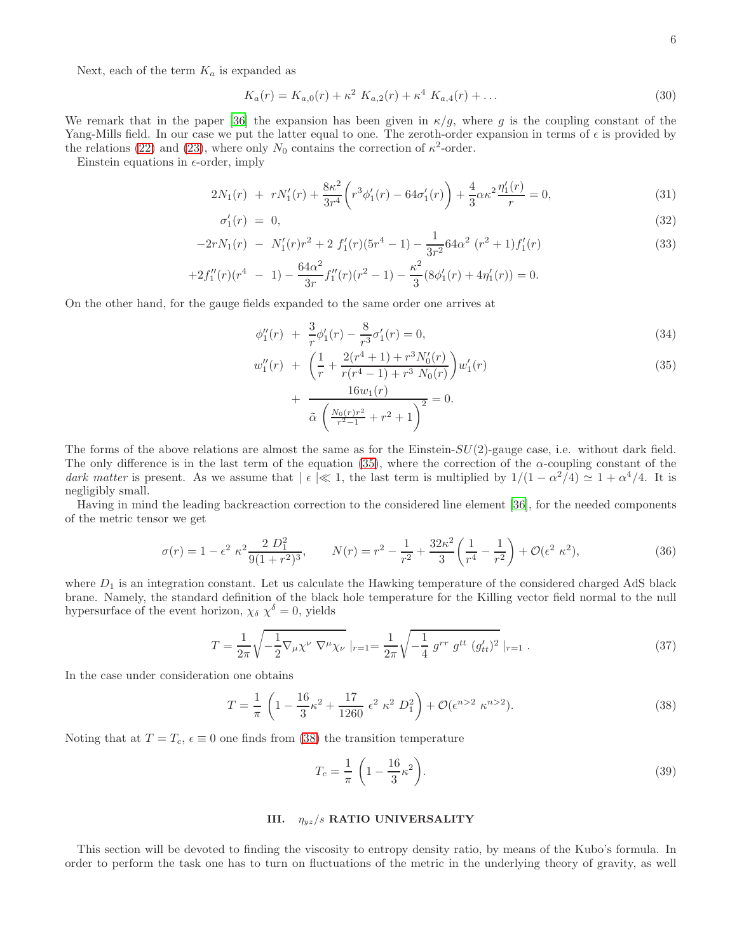Next, each of the term  $K_a$  is expanded as

$$
K_a(r) = K_{a,0}(r) + \kappa^2 K_{a,2}(r) + \kappa^4 K_{a,4}(r) + \dots \tag{30}
$$

We remark that in the paper [\[36\]](#page-12-16) the expansion has been given in  $\kappa/g$ , where g is the coupling constant of the Yang-Mills field. In our case we put the latter equal to one. The zeroth-order expansion in terms of  $\epsilon$  is provided by the relations [\(22\)](#page-4-0) and [\(23\)](#page-4-0), where only  $N_0$  contains the correction of  $\kappa^2$ -order.

Einstein equations in  $\epsilon$ -order, imply

$$
2N_1(r) + rN'_1(r) + \frac{8\kappa^2}{3r^4} \left( r^3 \phi'_1(r) - 64\sigma'_1(r) \right) + \frac{4}{3} \alpha \kappa^2 \frac{\eta'_1(r)}{r} = 0, \tag{31}
$$

$$
\sigma_1'(r) = 0,\tag{32}
$$

$$
-2rN_1(r) - N_1'(r)r^2 + 2 f_1'(r)(5r^4 - 1) - \frac{1}{3r^2}64\alpha^2 (r^2 + 1)f_1'(r)
$$
\n(33)

$$
+2f''_1(r)(r^4 - 1) - \frac{64\alpha^2}{3r}f''_1(r)(r^2 - 1) - \frac{\kappa^2}{3}(8\phi'_1(r) + 4\eta'_1(r)) = 0.
$$

On the other hand, for the gauge fields expanded to the same order one arrives at

<span id="page-5-0"></span>
$$
\phi_1''(r) + \frac{3}{r}\phi_1'(r) - \frac{8}{r^3}\sigma_1'(r) = 0,
$$
\n(34)

$$
w_1''(r) + \left(\frac{1}{r} + \frac{2(r^4 + 1) + r^3 N_0'(r)}{r(r^4 - 1) + r^3 N_0(r)}\right) w_1'(r)
$$
\n(35)

+ 
$$
\frac{16w_1(r)}{\tilde{\alpha}\left(\frac{N_0(r)r^2}{r^2-1}+r^2+1\right)^2}=0.
$$

The forms of the above relations are almost the same as for the Einstein- $SU(2)$ -gauge case, i.e. without dark field. The only difference is in the last term of the equation [\(35\)](#page-5-0), where the correction of the  $\alpha$ -coupling constant of the dark matter is present. As we assume that  $\vert \epsilon \vert \ll 1$ , the last term is multiplied by  $1/(1 - \alpha^2/4) \simeq 1 + \alpha^4/4$ . It is negligibly small.

Having in mind the leading backreaction correction to the considered line element [\[36\]](#page-12-16), for the needed components of the metric tensor we get

$$
\sigma(r) = 1 - \epsilon^2 \kappa^2 \frac{2 D_1^2}{9(1+r^2)^3}, \qquad N(r) = r^2 - \frac{1}{r^2} + \frac{32\kappa^2}{3} \left(\frac{1}{r^4} - \frac{1}{r^2}\right) + \mathcal{O}(\epsilon^2 \kappa^2),\tag{36}
$$

where  $D_1$  is an integration constant. Let us calculate the Hawking temperature of the considered charged AdS black brane. Namely, the standard definition of the black hole temperature for the Killing vector field normal to the null hypersurface of the event horizon,  $\chi_{\delta} \chi^{\delta} = 0$ , yields

$$
T = \frac{1}{2\pi} \sqrt{-\frac{1}{2} \nabla_{\mu} \chi^{\nu} \nabla^{\mu} \chi_{\nu}} \left|_{r=1} \right. = \frac{1}{2\pi} \sqrt{-\frac{1}{4} g^{rr} g^{tt} (g'_{tt})^2} \left|_{r=1} \right. . \tag{37}
$$

In the case under consideration one obtains

<span id="page-5-1"></span>
$$
T = \frac{1}{\pi} \left( 1 - \frac{16}{3} \kappa^2 + \frac{17}{1260} \epsilon^2 \kappa^2 D_1^2 \right) + \mathcal{O}(\epsilon^{n>2} \kappa^{n>2}).
$$
 (38)

Noting that at  $T = T_c$ ,  $\epsilon \equiv 0$  one finds from [\(38\)](#page-5-1) the transition temperature

$$
T_c = \frac{1}{\pi} \left( 1 - \frac{16}{3} \kappa^2 \right). \tag{39}
$$

# III.  $\eta_{yz}/s$  RATIO UNIVERSALITY

This section will be devoted to finding the viscosity to entropy density ratio, by means of the Kubo's formula. In order to perform the task one has to turn on fluctuations of the metric in the underlying theory of gravity, as well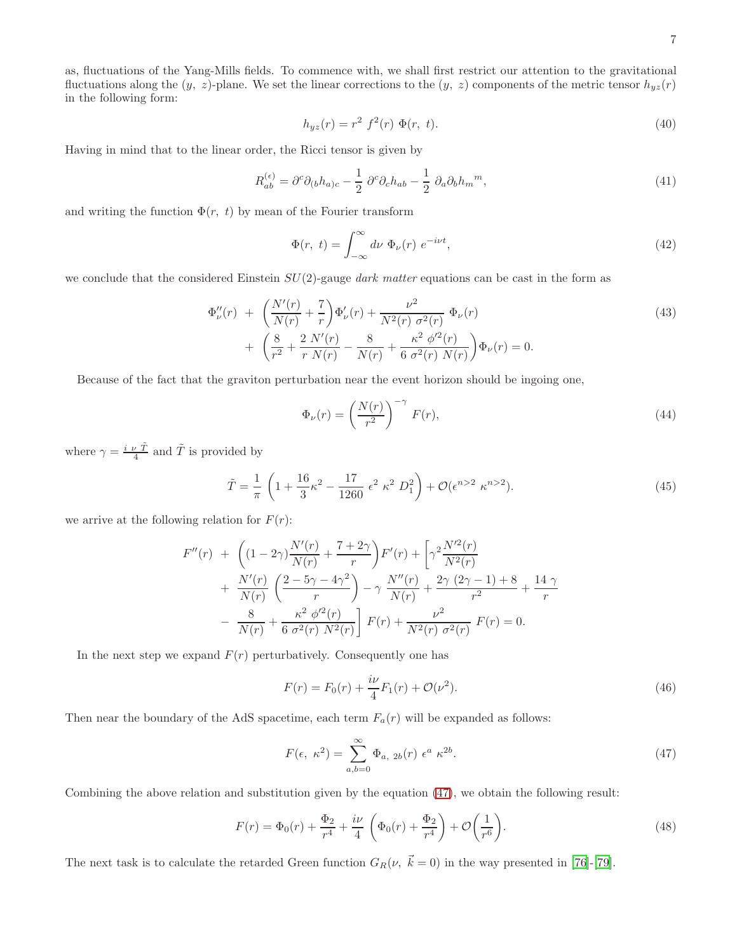as, fluctuations of the Yang-Mills fields. To commence with, we shall first restrict our attention to the gravitational fluctuations along the  $(y, z)$ -plane. We set the linear corrections to the  $(y, z)$  components of the metric tensor  $h_{yz}(r)$ in the following form:

$$
h_{yz}(r) = r^2 f^2(r) \Phi(r, t).
$$
\n(40)

Having in mind that to the linear order, the Ricci tensor is given by

$$
R_{ab}^{(\epsilon)} = \partial^c \partial_{(b} h_{a)c} - \frac{1}{2} \partial^c \partial_c h_{ab} - \frac{1}{2} \partial_a \partial_b h_m{}^m,
$$
\n(41)

and writing the function  $\Phi(r, t)$  by mean of the Fourier transform

$$
\Phi(r, t) = \int_{-\infty}^{\infty} d\nu \Phi_{\nu}(r) e^{-i\nu t}, \qquad (42)
$$

we conclude that the considered Einstein  $SU(2)$ -gauge dark matter equations can be cast in the form as

$$
\Phi_{\nu}''(r) + \left(\frac{N'(r)}{N(r)} + \frac{7}{r}\right)\Phi_{\nu}'(r) + \frac{\nu^2}{N^2(r)\sigma^2(r)}\Phi_{\nu}(r) \n+ \left(\frac{8}{r^2} + \frac{2}{r}\frac{N'(r)}{N(r)} - \frac{8}{N(r)} + \frac{\kappa^2}{6}\frac{\phi'^2(r)}{\sigma^2(r)\ N(r)}\right)\Phi_{\nu}(r) = 0.
$$
\n(43)

Because of the fact that the graviton perturbation near the event horizon should be ingoing one,

$$
\Phi_{\nu}(r) = \left(\frac{N(r)}{r^2}\right)^{-\gamma} F(r),\tag{44}
$$

where  $\gamma = \frac{i \nu \tilde{T}}{4}$  and  $\tilde{T}$  is provided by

$$
\tilde{T} = \frac{1}{\pi} \left( 1 + \frac{16}{3} \kappa^2 - \frac{17}{1260} \epsilon^2 \kappa^2 D_1^2 \right) + \mathcal{O}(\epsilon^{n>2} \kappa^{n>2}).
$$
\n(45)

we arrive at the following relation for  $F(r)$ :

$$
F''(r) + \left( (1 - 2\gamma) \frac{N'(r)}{N(r)} + \frac{7 + 2\gamma}{r} \right) F'(r) + \left[ \gamma^2 \frac{N'^2(r)}{N^2(r)} + \frac{N'(r)}{N(r)} \left( \frac{2 - 5\gamma - 4\gamma^2}{r} \right) - \gamma \frac{N''(r)}{N(r)} + \frac{2\gamma (2\gamma - 1) + 8}{r^2} + \frac{14\gamma}{r} - \frac{8}{N(r)} + \frac{\kappa^2 \phi'^2(r)}{6\sigma^2(r) N^2(r)} \right] F(r) + \frac{\nu^2}{N^2(r)\sigma^2(r)} F(r) = 0.
$$

In the next step we expand  $F(r)$  perturbatively. Consequently one has

$$
F(r) = F_0(r) + \frac{i\nu}{4}F_1(r) + \mathcal{O}(\nu^2).
$$
\n(46)

Then near the boundary of the AdS spacetime, each term  $F_a(r)$  will be expanded as follows:

<span id="page-6-0"></span>
$$
F(\epsilon, \ \kappa^2) = \sum_{a,b=0}^{\infty} \Phi_{a, \ 2b}(r) \ \epsilon^a \ \kappa^{2b}.
$$
 (47)

Combining the above relation and substitution given by the equation [\(47\)](#page-6-0), we obtain the following result:

$$
F(r) = \Phi_0(r) + \frac{\Phi_2}{r^4} + \frac{i\nu}{4} \left( \Phi_0(r) + \frac{\Phi_2}{r^4} \right) + \mathcal{O}\left(\frac{1}{r^6}\right).
$$
 (48)

The next task is to calculate the retarded Green function  $G_R(\nu, \vec{k} = 0)$  in the way presented in [\[76\]](#page-13-8)-[\[79](#page-13-9)].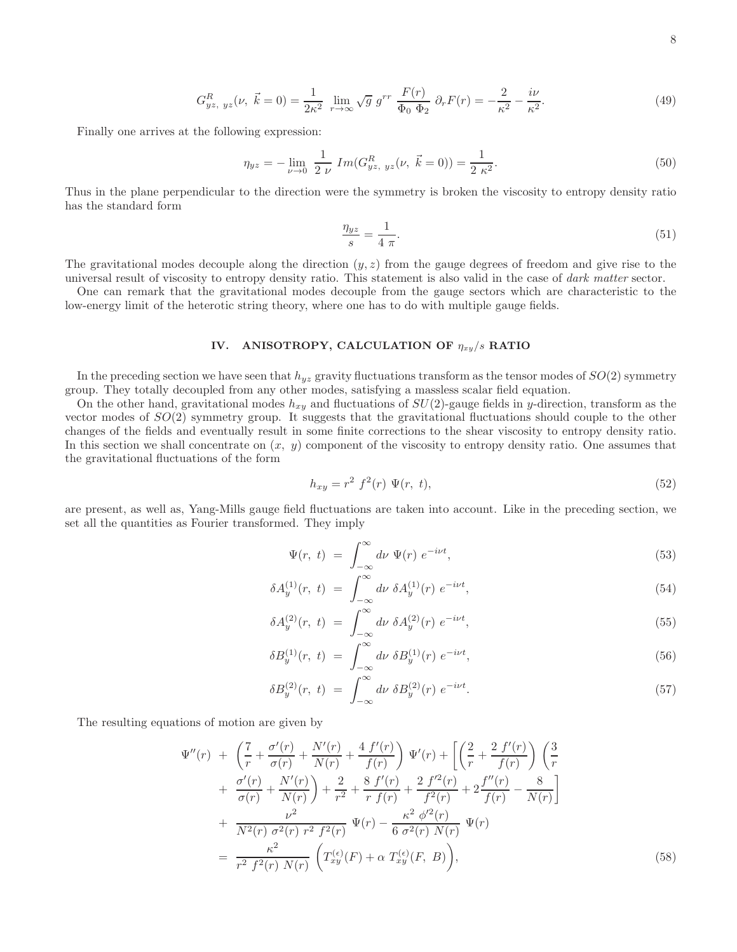8

$$
G_{yz, yz}^R(\nu, \vec{k} = 0) = \frac{1}{2\kappa^2} \lim_{r \to \infty} \sqrt{g} g^{rr} \frac{F(r)}{\Phi_0 \Phi_2} \partial_r F(r) = -\frac{2}{\kappa^2} - \frac{i\nu}{\kappa^2}.
$$
 (49)

Finally one arrives at the following expression:

$$
\eta_{yz} = -\lim_{\nu \to 0} \frac{1}{2 \nu} Im(G_{yz, yz}^R(\nu, \vec{k} = 0)) = \frac{1}{2 \kappa^2}.
$$
\n(50)

Thus in the plane perpendicular to the direction were the symmetry is broken the viscosity to entropy density ratio has the standard form

$$
\frac{\eta_{yz}}{s} = \frac{1}{4 \pi}.\tag{51}
$$

The gravitational modes decouple along the direction  $(y, z)$  from the gauge degrees of freedom and give rise to the universal result of viscosity to entropy density ratio. This statement is also valid in the case of dark matter sector.

One can remark that the gravitational modes decouple from the gauge sectors which are characteristic to the low-energy limit of the heterotic string theory, where one has to do with multiple gauge fields.

# IV. ANISOTROPY, CALCULATION OF  $\eta_{xy}/s$  RATIO

In the preceding section we have seen that  $h_{yz}$  gravity fluctuations transform as the tensor modes of  $SO(2)$  symmetry group. They totally decoupled from any other modes, satisfying a massless scalar field equation.

On the other hand, gravitational modes  $h_{xy}$  and fluctuations of  $SU(2)$ -gauge fields in y-direction, transform as the vector modes of  $SO(2)$  symmetry group. It suggests that the gravitational fluctuations should couple to the other changes of the fields and eventually result in some finite corrections to the shear viscosity to entropy density ratio. In this section we shall concentrate on  $(x, y)$  component of the viscosity to entropy density ratio. One assumes that the gravitational fluctuations of the form

$$
h_{xy} = r^2 f^2(r) \Psi(r, t), \tag{52}
$$

are present, as well as, Yang-Mills gauge field fluctuations are taken into account. Like in the preceding section, we set all the quantities as Fourier transformed. They imply

$$
\Psi(r, t) = \int_{-\infty}^{\infty} d\nu \Psi(r) e^{-i\nu t}, \qquad (53)
$$

$$
\delta A_y^{(1)}(r, t) = \int_{-\infty}^{\infty} d\nu \ \delta A_y^{(1)}(r) \ e^{-i\nu t}, \tag{54}
$$

$$
\delta A_y^{(2)}(r, t) = \int_{-\infty}^{\infty} d\nu \ \delta A_y^{(2)}(r) \ e^{-i\nu t}, \tag{55}
$$

$$
\delta B_y^{(1)}(r, t) = \int_{-\infty}^{\infty} d\nu \ \delta B_y^{(1)}(r) e^{-i\nu t}, \tag{56}
$$

$$
\delta B_y^{(2)}(r, t) = \int_{-\infty}^{\infty} d\nu \ \delta B_y^{(2)}(r) \ e^{-i\nu t}.
$$
\n(57)

The resulting equations of motion are given by

$$
\Psi''(r) + \left(\frac{7}{r} + \frac{\sigma'(r)}{\sigma(r)} + \frac{N'(r)}{N(r)} + \frac{4 f'(r)}{f(r)}\right) \Psi'(r) + \left[\left(\frac{2}{r} + \frac{2 f'(r)}{f(r)}\right) \left(\frac{3}{r} + \frac{\sigma'(r)}{\sigma(r)} + \frac{N'(r)}{N(r)}\right) + \frac{2}{r^2} + \frac{8 f'(r)}{r f(r)} + \frac{2 f'^2(r)}{f^2(r)} + 2 \frac{f''(r)}{f(r)} - \frac{8}{N(r)}\right] + \frac{\nu^2}{N^2(r) \sigma^2(r) r^2 f^2(r)} \Psi(r) - \frac{\kappa^2 \phi'^2(r)}{6 \sigma^2(r) N(r)} \Psi(r)
$$

$$
= \frac{\kappa^2}{r^2 f^2(r) N(r)} \left(T_{xy}^{(\epsilon)}(F) + \alpha T_{xy}^{(\epsilon)}(F, B)\right), \tag{58}
$$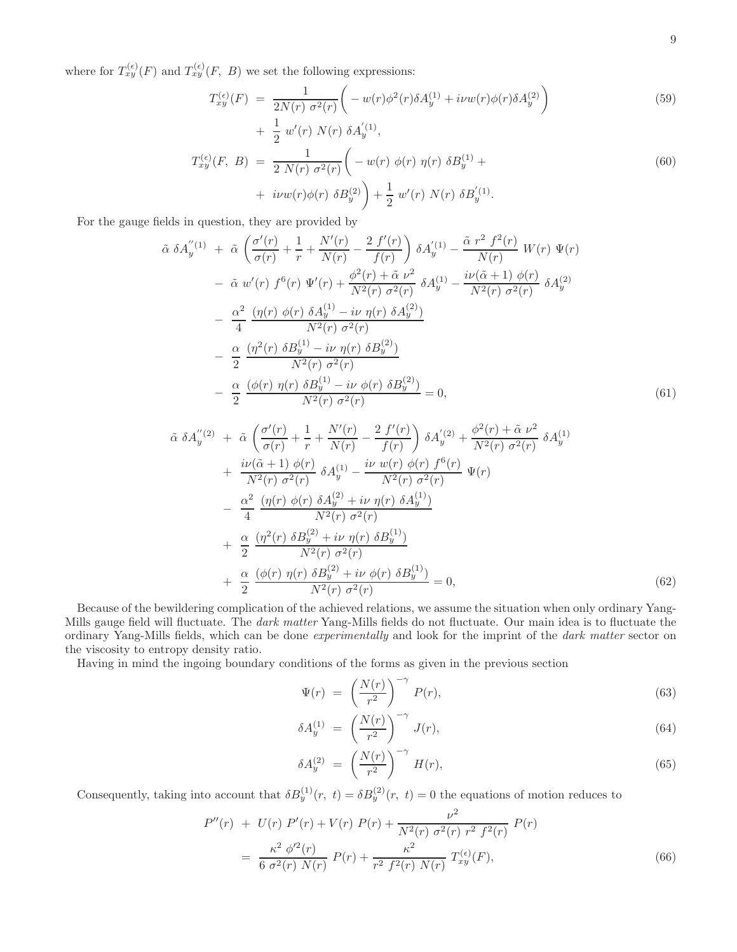where for  $T_{xy}^{(\epsilon)}(F)$  and  $T_{xy}^{(\epsilon)}(F, B)$  we set the following expressions:

$$
T_{xy}^{(\epsilon)}(F) = \frac{1}{2N(r) \sigma^2(r)} \left( -w(r)\phi^2(r)\delta A_y^{(1)} + i\nu w(r)\phi(r)\delta A_y^{(2)} \right) + \frac{1}{2} w'(r) N(r) \delta A_y^{(1)},
$$
(59)

$$
T_{xy}^{(\epsilon)}(F, B) = \frac{1}{2 N(r) \sigma^2(r)} \left( -w(r) \phi(r) \eta(r) \delta B_y^{(1)} + i \nu w(r) \phi(r) \delta B_y^{(2)} \right) + \frac{1}{2} w'(r) N(r) \delta B_y^{(1)}.
$$
\n(60)

For the gauge fields in question, they are provided by

$$
\tilde{\alpha} \delta A_{y}^{''(1)} + \tilde{\alpha} \left( \frac{\sigma'(r)}{\sigma(r)} + \frac{1}{r} + \frac{N'(r)}{N(r)} - \frac{2 f'(r)}{f(r)} \right) \delta A_{y}^{'}(1) - \frac{\tilde{\alpha} r^{2} f^{2}(r)}{N(r)} W(r) \Psi(r) \n- \tilde{\alpha} w'(r) f^{6}(r) \Psi'(r) + \frac{\phi^{2}(r) + \tilde{\alpha} v^{2}}{N^{2}(r) \sigma^{2}(r)} \delta A_{y}^{(1)} - \frac{i\nu(\tilde{\alpha}+1) \phi(r)}{N^{2}(r) \sigma^{2}(r)} \delta A_{y}^{(2)} \n- \frac{\alpha^{2}}{4} \frac{(\eta(r) \phi(r) \delta A_{y}^{(1)} - i\nu \eta(r) \delta A_{y}^{(2)})}{N^{2}(r) \sigma^{2}(r)} \n- \frac{\alpha}{2} \frac{(\eta^{2}(r) \delta B_{y}^{(1)} - i\nu \eta(r) \delta B_{y}^{(2)})}{N^{2}(r) \sigma^{2}(r)} \n- \frac{\alpha}{2} \frac{(\phi(r) \eta(r) \delta B_{y}^{(1)} - i\nu \phi(r) \delta B_{y}^{(2)})}{N^{2}(r) \sigma^{2}(r)} = 0,
$$
\n(61)

$$
\tilde{\alpha} \delta A_{y}^{"(2)} + \tilde{\alpha} \left( \frac{\sigma'(r)}{\sigma(r)} + \frac{1}{r} + \frac{N'(r)}{N(r)} - \frac{2 f'(r)}{f(r)} \right) \delta A_{y}^{'(2)} + \frac{\phi^{2}(r) + \tilde{\alpha} \nu^{2}}{N^{2}(r) \sigma^{2}(r)} \delta A_{y}^{(1)} \n+ \frac{i\nu(\tilde{\alpha} + 1) \phi(r)}{N^{2}(r) \sigma^{2}(r)} \delta A_{y}^{(1)} - \frac{i\nu \ w(r) \phi(r) f^{6}(r)}{N^{2}(r) \sigma^{2}(r)} \Psi(r) \n- \frac{\alpha^{2}}{4} \frac{(\eta(r) \phi(r) \delta A_{y}^{(2)} + i\nu \eta(r) \delta A_{y}^{(1)})}{N^{2}(r) \sigma^{2}(r)} \n+ \frac{\alpha}{2} \frac{(\eta^{2}(r) \delta B_{y}^{(2)} + i\nu \eta(r) \delta B_{y}^{(1)})}{N^{2}(r) \sigma^{2}(r)} \n+ \frac{\alpha}{2} \frac{(\phi(r) \eta(r) \delta B_{y}^{(2)} + i\nu \phi(r) \delta B_{y}^{(1)})}{N^{2}(r) \sigma^{2}(r)} = 0,
$$
\n(62)

Because of the bewildering complication of the achieved relations, we assume the situation when only ordinary Yang-Mills gauge field will fluctuate. The *dark matter* Yang-Mills fields do not fluctuate. Our main idea is to fluctuate the ordinary Yang-Mills fields, which can be done experimentally and look for the imprint of the dark matter sector on the viscosity to entropy density ratio.

Having in mind the ingoing boundary conditions of the forms as given in the previous section

$$
\Psi(r) = \left(\frac{N(r)}{r^2}\right)^{-\gamma} P(r),\tag{63}
$$

$$
\delta A_y^{(1)} = \left(\frac{N(r)}{r^2}\right)^{-\gamma} J(r),\tag{64}
$$

$$
\delta A_y^{(2)} = \left(\frac{N(r)}{r^2}\right)^{-\gamma} H(r),\tag{65}
$$

Consequently, taking into account that  $\delta B_y^{(1)}(r, t) = \delta B_y^{(2)}(r, t) = 0$  the equations of motion reduces to

<span id="page-8-0"></span>
$$
P''(r) + U(r) P'(r) + V(r) P(r) + \frac{\nu^2}{N^2(r) \sigma^2(r) r^2 f^2(r)} P(r)
$$
  
= 
$$
\frac{\kappa^2 \phi'^2(r)}{6 \sigma^2(r) N(r)} P(r) + \frac{\kappa^2}{r^2 f^2(r) N(r)} T_{xy}^{(\epsilon)}(F),
$$
 (66)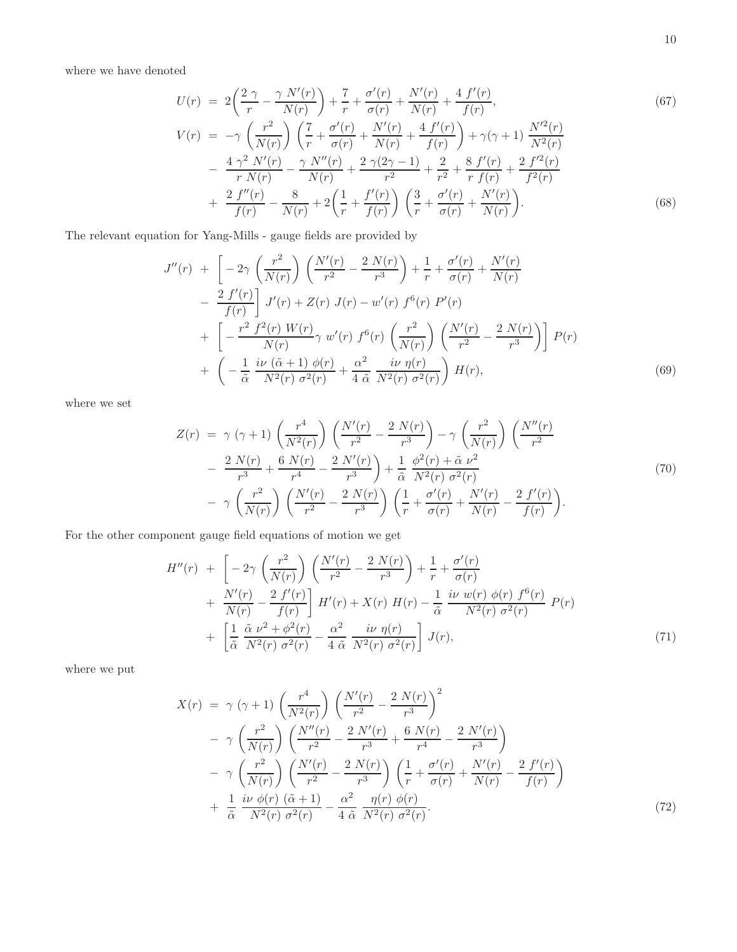where we have denoted

$$
U(r) = 2\left(\frac{2\gamma}{r} - \frac{\gamma N'(r)}{N(r)}\right) + \frac{7}{r} + \frac{\sigma'(r)}{\sigma(r)} + \frac{N'(r)}{N(r)} + \frac{4 f'(r)}{f(r)},
$$
\n
$$
V(r) = -\gamma \left(\frac{r^2}{N(r)}\right) \left(\frac{7}{r} + \frac{\sigma'(r)}{\sigma(r)} + \frac{N'(r)}{N(r)} + \frac{4 f'(r)}{f(r)}\right) + \gamma(\gamma + 1) \frac{N'^2(r)}{N^2(r)}
$$
\n
$$
- \frac{4\gamma^2 N'(r)}{r N(r)} - \frac{\gamma N''(r)}{N(r)} + \frac{2\gamma(2\gamma - 1)}{r^2} + \frac{2}{r^2} + \frac{8 f'(r)}{r f(r)} + \frac{2 f'^2(r)}{f^2(r)}
$$
\n
$$
+ \frac{2 f''(r)}{f(r)} - \frac{8}{N(r)} + 2\left(\frac{1}{r} + \frac{f'(r)}{f(r)}\right) \left(\frac{3}{r} + \frac{\sigma'(r)}{\sigma(r)} + \frac{N'(r)}{N(r)}\right).
$$
\n(68)

The relevant equation for Yang-Mills - gauge fields are provided by

$$
J''(r) + \left[ -2\gamma \left( \frac{r^2}{N(r)} \right) \left( \frac{N'(r)}{r^2} - \frac{2 N(r)}{r^3} \right) + \frac{1}{r} + \frac{\sigma'(r)}{\sigma(r)} + \frac{N'(r)}{N(r)} - \frac{2 f'(r)}{f(r)} \right] J'(r) + Z(r) J(r) - w'(r) f^6(r) P'(r) + \left[ -\frac{r^2 f^2(r) W(r)}{N(r)} \gamma w'(r) f^6(r) \left( \frac{r^2}{N(r)} \right) \left( \frac{N'(r)}{r^2} - \frac{2 N(r)}{r^3} \right) \right] P(r) + \left( -\frac{1}{\tilde{\alpha}} \frac{i\nu (\tilde{\alpha} + 1) \phi(r)}{N^2(r) \sigma^2(r)} + \frac{\alpha^2}{4 \tilde{\alpha}} \frac{i\nu \eta(r)}{N^2(r) \sigma^2(r)} \right) H(r), \tag{69}
$$

where we set

$$
Z(r) = \gamma (\gamma + 1) \left(\frac{r^4}{N^2(r)}\right) \left(\frac{N'(r)}{r^2} - \frac{2 N(r)}{r^3}\right) - \gamma \left(\frac{r^2}{N(r)}\right) \left(\frac{N''(r)}{r^2} - \frac{2 N(r)}{r^3} + \frac{6 N(r)}{r^4} - \frac{2 N'(r)}{r^3}\right) + \frac{1}{\tilde{\alpha}} \frac{\phi^2(r) + \tilde{\alpha} \nu^2}{N^2(r) \sigma^2(r)} - \gamma \left(\frac{r^2}{N(r)}\right) \left(\frac{N'(r)}{r^2} - \frac{2 N(r)}{r^3}\right) \left(\frac{1}{r} + \frac{\sigma'(r)}{\sigma(r)} + \frac{N'(r)}{N(r)} - \frac{2 f'(r)}{f(r)}\right).
$$
\n(70)

For the other component gauge field equations of motion we get

<span id="page-9-0"></span>
$$
H''(r) + \left[ -2\gamma \left( \frac{r^2}{N(r)} \right) \left( \frac{N'(r)}{r^2} - \frac{2 N(r)}{r^3} \right) + \frac{1}{r} + \frac{\sigma'(r)}{\sigma(r)} + \frac{N'(r)}{N(r)} - \frac{2 f'(r)}{f(r)} \right] H'(r) + X(r) H(r) - \frac{1}{\tilde{\alpha}} \frac{i\nu \ w(r) \ \phi(r) f^6(r)}{N^2(r) \ \sigma^2(r)} P(r) + \left[ \frac{1}{\tilde{\alpha}} \frac{\tilde{\alpha} \nu^2 + \phi^2(r)}{N^2(r) \ \sigma^2(r)} - \frac{\alpha^2}{4 \ \tilde{\alpha}} \frac{i\nu \ \eta(r)}{N^2(r) \ \sigma^2(r)} \right] J(r), \tag{71}
$$

where we put

$$
X(r) = \gamma (\gamma + 1) \left(\frac{r^4}{N^2(r)}\right) \left(\frac{N'(r)}{r^2} - \frac{2 N(r)}{r^3}\right)^2 - \gamma \left(\frac{r^2}{N(r)}\right) \left(\frac{N''(r)}{r^2} - \frac{2 N'(r)}{r^3} + \frac{6 N(r)}{r^4} - \frac{2 N'(r)}{r^3}\right) - \gamma \left(\frac{r^2}{N(r)}\right) \left(\frac{N'(r)}{r^2} - \frac{2 N(r)}{r^3}\right) \left(\frac{1}{r} + \frac{\sigma'(r)}{\sigma(r)} + \frac{N'(r)}{N(r)} - \frac{2 f'(r)}{f(r)}\right) + \frac{1}{\tilde{\alpha}} \frac{i\nu \phi(r) (\tilde{\alpha} + 1)}{N^2(r) \sigma^2(r)} - \frac{\alpha^2}{4 \tilde{\alpha}} \frac{\eta(r) \phi(r)}{N^2(r) \sigma^2(r)}.
$$
(72)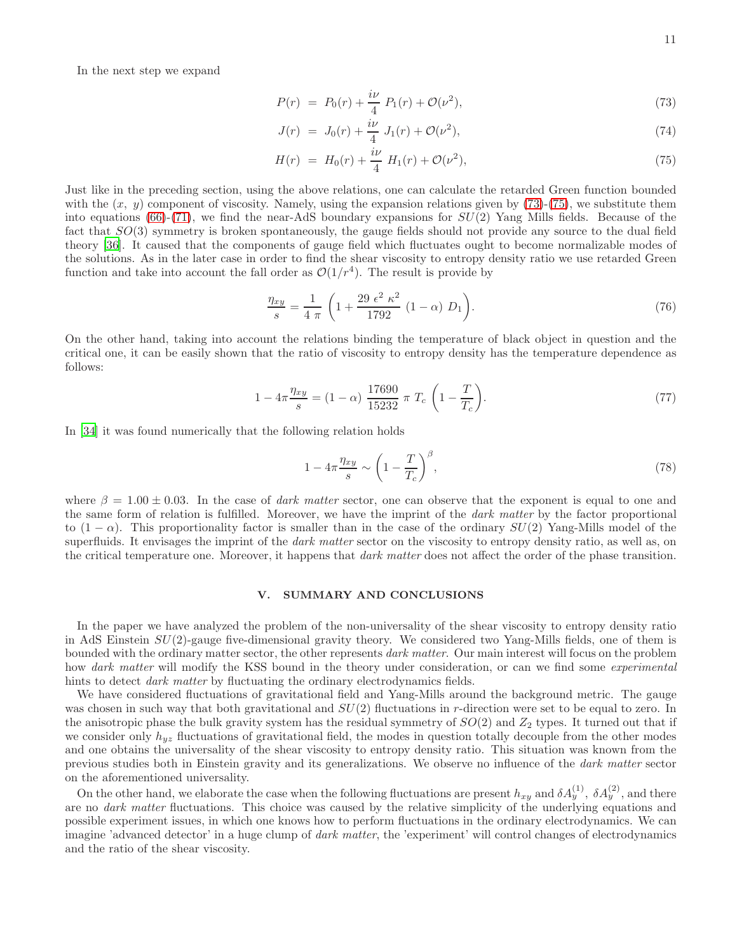In the next step we expand

<span id="page-10-0"></span>
$$
P(r) = P_0(r) + \frac{i\nu}{4} P_1(r) + \mathcal{O}(\nu^2), \tag{73}
$$

$$
J(r) = J_0(r) + \frac{i\nu}{4} J_1(r) + \mathcal{O}(\nu^2), \tag{74}
$$

$$
H(r) = H_0(r) + \frac{i\nu}{4} H_1(r) + \mathcal{O}(\nu^2), \tag{75}
$$

Just like in the preceding section, using the above relations, one can calculate the retarded Green function bounded with the  $(x, y)$  component of viscosity. Namely, using the expansion relations given by  $(73)-(75)$  $(73)-(75)$ , we substitute them into equations  $(66)-(71)$  $(66)-(71)$ , we find the near-AdS boundary expansions for  $SU(2)$  Yang Mills fields. Because of the fact that SO(3) symmetry is broken spontaneously, the gauge fields should not provide any source to the dual field theory [\[36\]](#page-12-16). It caused that the components of gauge field which fluctuates ought to become normalizable modes of the solutions. As in the later case in order to find the shear viscosity to entropy density ratio we use retarded Green function and take into account the fall order as  $\mathcal{O}(1/r^4)$ . The result is provide by

$$
\frac{\eta_{xy}}{s} = \frac{1}{4 \pi} \left( 1 + \frac{29 \epsilon^2 \kappa^2}{1792} (1 - \alpha) D_1 \right).
$$
 (76)

On the other hand, taking into account the relations binding the temperature of black object in question and the critical one, it can be easily shown that the ratio of viscosity to entropy density has the temperature dependence as follows:

$$
1 - 4\pi \frac{\eta_{xy}}{s} = (1 - \alpha) \frac{17690}{15232} \pi T_c \left(1 - \frac{T}{T_c}\right).
$$
 (77)

In [\[34](#page-12-14)] it was found numerically that the following relation holds

$$
1 - 4\pi \frac{\eta_{xy}}{s} \sim \left(1 - \frac{T}{T_c}\right)^{\beta},\tag{78}
$$

where  $\beta = 1.00 \pm 0.03$ . In the case of *dark matter* sector, one can observe that the exponent is equal to one and the same form of relation is fulfilled. Moreover, we have the imprint of the *dark matter* by the factor proportional to  $(1 - \alpha)$ . This proportionality factor is smaller than in the case of the ordinary  $SU(2)$  Yang-Mills model of the superfluids. It envisages the imprint of the *dark matter* sector on the viscosity to entropy density ratio, as well as, on the critical temperature one. Moreover, it happens that *dark matter* does not affect the order of the phase transition.

### V. SUMMARY AND CONCLUSIONS

In the paper we have analyzed the problem of the non-universality of the shear viscosity to entropy density ratio in AdS Einstein SU(2)-gauge five-dimensional gravity theory. We considered two Yang-Mills fields, one of them is bounded with the ordinary matter sector, the other represents dark matter. Our main interest will focus on the problem how dark matter will modify the KSS bound in the theory under consideration, or can we find some experimental hints to detect *dark matter* by fluctuating the ordinary electrodynamics fields.

We have considered fluctuations of gravitational field and Yang-Mills around the background metric. The gauge was chosen in such way that both gravitational and  $SU(2)$  fluctuations in r-direction were set to be equal to zero. In the anisotropic phase the bulk gravity system has the residual symmetry of  $SO(2)$  and  $Z_2$  types. It turned out that if we consider only  $h_{yz}$  fluctuations of gravitational field, the modes in question totally decouple from the other modes and one obtains the universality of the shear viscosity to entropy density ratio. This situation was known from the previous studies both in Einstein gravity and its generalizations. We observe no influence of the dark matter sector on the aforementioned universality.

On the other hand, we elaborate the case when the following fluctuations are present  $h_{xy}$  and  $\delta A_y^{(1)}$ ,  $\delta A_y^{(2)}$ , and there are no *dark matter* fluctuations. This choice was caused by the relative simplicity of the underlying equations and possible experiment issues, in which one knows how to perform fluctuations in the ordinary electrodynamics. We can imagine 'advanced detector' in a huge clump of *dark matter*, the 'experiment' will control changes of electrodynamics and the ratio of the shear viscosity.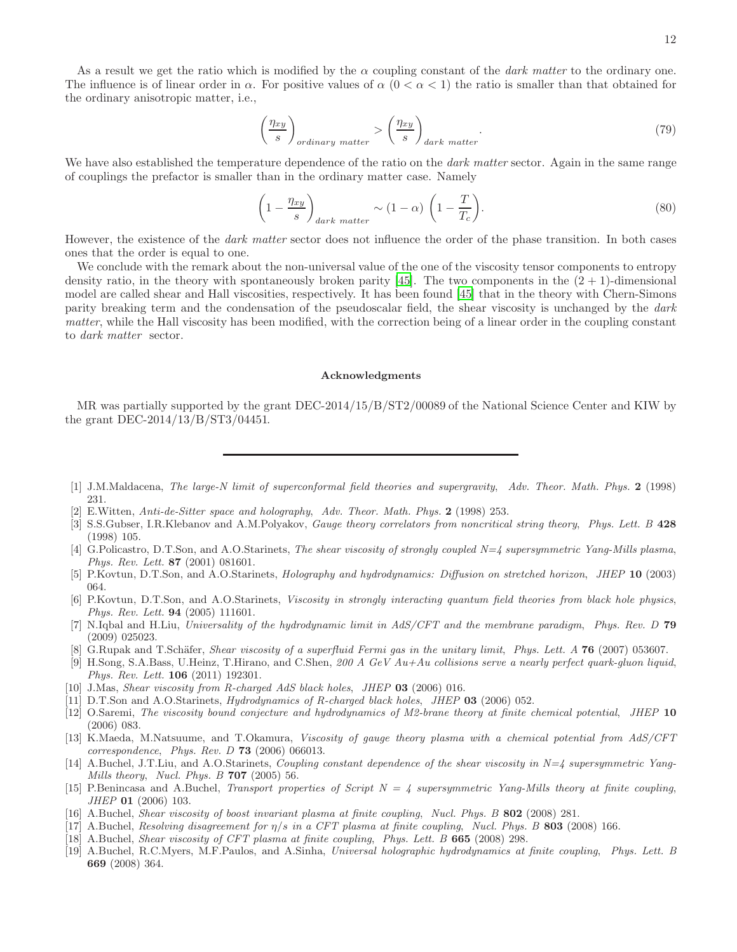As a result we get the ratio which is modified by the  $\alpha$  coupling constant of the *dark matter* to the ordinary one. The influence is of linear order in  $\alpha$ . For positive values of  $\alpha$  (0 <  $\alpha$  < 1) the ratio is smaller than that obtained for the ordinary anisotropic matter, i.e.,

$$
\left(\frac{\eta_{xy}}{s}\right)_{ordinary\ matter} > \left(\frac{\eta_{xy}}{s}\right)_{dark\ matter}.\tag{79}
$$

We have also established the temperature dependence of the ratio on the *dark matter* sector. Again in the same range of couplings the prefactor is smaller than in the ordinary matter case. Namely

$$
\left(1 - \frac{\eta_{xy}}{s}\right)_{dark\ matter} \sim (1 - \alpha) \left(1 - \frac{T}{T_c}\right). \tag{80}
$$

However, the existence of the *dark matter* sector does not influence the order of the phase transition. In both cases ones that the order is equal to one.

We conclude with the remark about the non-universal value of the one of the viscosity tensor components to entropy density ratio, in the theory with spontaneously broken parity [\[45\]](#page-12-25). The two components in the  $(2 + 1)$ -dimensional model are called shear and Hall viscosities, respectively. It has been found [\[45](#page-12-25)] that in the theory with Chern-Simons parity breaking term and the condensation of the pseudoscalar field, the shear viscosity is unchanged by the dark matter, while the Hall viscosity has been modified, with the correction being of a linear order in the coupling constant to dark matter sector.

### Acknowledgments

MR was partially supported by the grant DEC-2014/15/B/ST2/00089 of the National Science Center and KIW by the grant DEC-2014/13/B/ST3/04451.

- <span id="page-11-0"></span>[1] J.M.Maldacena, The large-N limit of superconformal field theories and supergravity, Adv. Theor. Math. Phys. 2 (1998) 231.
- [2] E.Witten, Anti-de-Sitter space and holography, Adv. Theor. Math. Phys. 2 (1998) 253.
- <span id="page-11-1"></span>[3] S.S.Gubser, I.R.Klebanov and A.M.Polyakov, *Gauge theory correlators from noncritical string theory, Phys. Lett. B* 428 (1998) 105.
- <span id="page-11-2"></span>[4] G.Policastro, D.T.Son, and A.O.Starinets, The shear viscosity of strongly coupled N=4 supersymmetric Yang-Mills plasma, Phys. Rev. Lett. 87 (2001) 081601.
- [5] P.Kovtun, D.T.Son, and A.O.Starinets, Holography and hydrodynamics: Diffusion on stretched horizon, JHEP 10 (2003) 064.
- <span id="page-11-4"></span>[6] P.Kovtun, D.T.Son, and A.O.Starinets, Viscosity in strongly interacting quantum field theories from black hole physics, Phys. Rev. Lett. 94 (2005) 111601.
- <span id="page-11-3"></span>[7] N.Iqbal and H.Liu, Universality of the hydrodynamic limit in AdS/CFT and the membrane paradigm, Phys. Rev. D 79 (2009) 025023.
- <span id="page-11-5"></span>[8] G.Rupak and T.Schäfer, *Shear viscosity of a superfluid Fermi gas in the unitary limit, Phys. Lett. A* **76** (2007) 053607.
- <span id="page-11-6"></span>[9] H.Song, S.A.Bass, U.Heinz, T.Hirano, and C.Shen, 200 A GeV Au+Au collisions serve a nearly perfect quark-gluon liquid, Phys. Rev. Lett. 106 (2011) 192301.
- <span id="page-11-7"></span>[10] J.Mas, Shear viscosity from R-charged AdS black holes, JHEP 03 (2006) 016.
- [11] D.T.Son and A.O.Starinets, *Hydrodynamics of R-charged black holes, JHEP* 03 (2006) 052.
- [12] O.Saremi, The viscosity bound conjecture and hydrodynamics of M2-brane theory at finite chemical potential, JHEP 10 (2006) 083.
- <span id="page-11-8"></span>[13] K.Maeda, M.Natsuume, and T.Okamura, Viscosity of gauge theory plasma with a chemical potential from AdS/CFT correspondence, Phys. Rev. D  $73$  (2006) 066013.
- <span id="page-11-9"></span>[14] A.Buchel, J.T.Liu, and A.O.Starinets, *Coupling constant dependence of the shear viscosity in*  $N=4$  supersymmetric Yang-Mills theory, Nucl. Phys. B  $707$  (2005) 56.
- [15] P.Benincasa and A.Buchel, Transport properties of Script  $N = 4$  supersymmetric Yang-Mills theory at finite coupling, JHEP 01 (2006) 103.
- [16] A.Buchel, Shear viscosity of boost invariant plasma at finite coupling, Nucl. Phys. B 802 (2008) 281.
- [17] A.Buchel, Resolving disagreement for  $\eta/s$  in a CFT plasma at finite coupling, Nucl. Phys. B 803 (2008) 166.
- [18] A.Buchel, Shear viscosity of CFT plasma at finite coupling, Phys. Lett. B 665 (2008) 298.
- <span id="page-11-10"></span>[19] A.Buchel, R.C.Myers, M.F.Paulos, and A.Sinha, Universal holographic hydrodynamics at finite coupling, Phys. Lett. B 669 (2008) 364.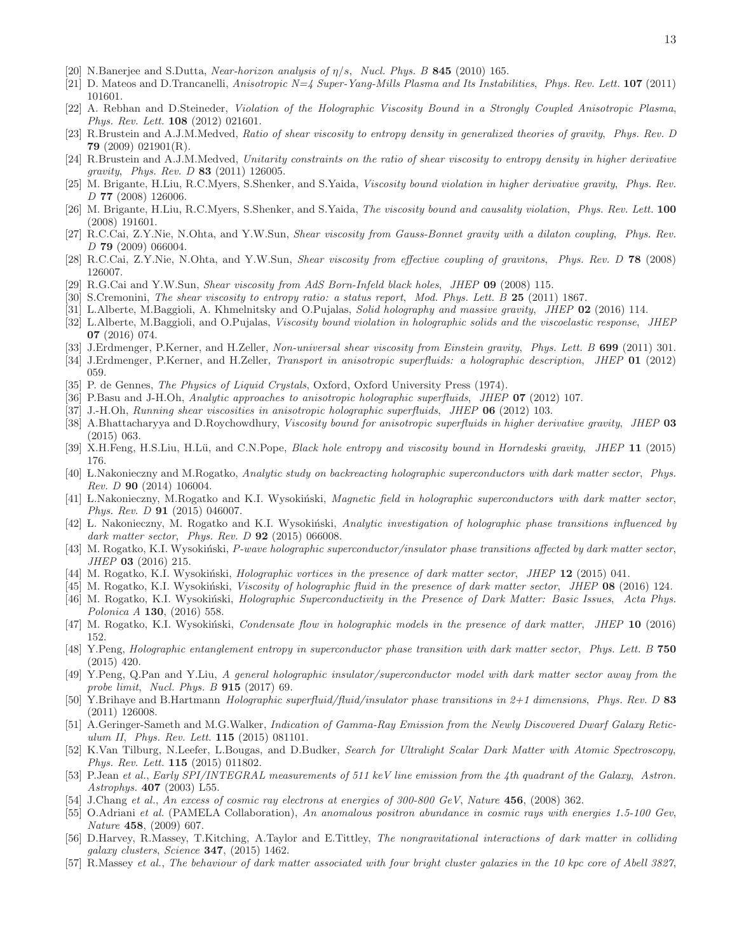- <span id="page-12-0"></span>[20] N.Banerjee and S.Dutta, *Near-horizon analysis of*  $\eta/s$ *, Nucl. Phys. B* 845 (2010) 165.
- <span id="page-12-1"></span>[21] D. Mateos and D.Trancanelli, Anisotropic  $N=4$  Super-Yang-Mills Plasma and Its Instabilities, Phys. Rev. Lett. 107 (2011) 101601.
- <span id="page-12-2"></span>[22] A. Rebhan and D.Steineder, Violation of the Holographic Viscosity Bound in a Strongly Coupled Anisotropic Plasma, Phys. Rev. Lett. 108 (2012) 021601.
- <span id="page-12-3"></span>[23] R.Brustein and A.J.M.Medved, Ratio of shear viscosity to entropy density in generalized theories of gravity, Phys. Rev. D 79 (2009) 021901(R).
- <span id="page-12-4"></span>[24] R.Brustein and A.J.M.Medved, Unitarity constraints on the ratio of shear viscosity to entropy density in higher derivative gravity, Phys. Rev. D 83 (2011) 126005.
- <span id="page-12-5"></span>[25] M. Brigante, H.Liu, R.C.Myers, S.Shenker, and S.Yaida, Viscosity bound violation in higher derivative gravity, Phys. Rev. D 77 (2008) 126006.
- <span id="page-12-6"></span>[26] M. Brigante, H.Liu, R.C.Myers, S.Shenker, and S.Yaida, The viscosity bound and causality violation, Phys. Rev. Lett. 100 (2008) 191601.
- <span id="page-12-7"></span>[27] R.C.Cai, Z.Y.Nie, N.Ohta, and Y.W.Sun, Shear viscosity from Gauss-Bonnet gravity with a dilaton coupling, Phys. Rev. D 79 (2009) 066004.
- <span id="page-12-8"></span>[28] R.C.Cai, Z.Y.Nie, N.Ohta, and Y.W.Sun, Shear viscosity from effective coupling of gravitons, Phys. Rev. D 78 (2008) 126007.
- <span id="page-12-9"></span>[29] R.G.Cai and Y.W.Sun, *Shear viscosity from AdS Born-Infeld black holes, JHEP* 09 (2008) 115.
- <span id="page-12-10"></span>[30] S.Cremonini, The shear viscosity to entropy ratio: a status report, Mod. Phys. Lett. B 25 (2011) 1867.
- <span id="page-12-11"></span>[31] L.Alberte, M.Baggioli, A. Khmelnitsky and O.Pujalas, Solid holography and massive gravity, JHEP 02 (2016) 114.
- <span id="page-12-12"></span>[32] L.Alberte, M.Baggioli, and O.Pujalas, Viscosity bound violation in holographic solids and the viscoelastic response, JHEP 07 (2016) 074.
- <span id="page-12-13"></span>[33] J.Erdmenger, P.Kerner, and H.Zeller, Non-universal shear viscosity from Einstein gravity, Phys. Lett. B 699 (2011) 301.
- <span id="page-12-14"></span>[34] J.Erdmenger, P.Kerner, and H.Zeller, Transport in anisotropic superfluids: a holographic description, JHEP 01 (2012) 059.
- <span id="page-12-15"></span>[35] P. de Gennes, *The Physics of Liquid Crystals*, Oxford, Oxford University Press (1974).
- <span id="page-12-16"></span>[36] P.Basu and J-H.Oh, Analytic approaches to anisotropic holographic superfluids, JHEP 07 (2012) 107.
- <span id="page-12-17"></span>[37] J.-H.Oh, Running shear viscosities in anisotropic holographic superfluids, JHEP 06 (2012) 103.
- <span id="page-12-18"></span>[38] A.Bhattacharyya and D.Roychowdhury, Viscosity bound for anisotropic superfluids in higher derivative gravity, JHEP 03 (2015) 063.
- <span id="page-12-19"></span>[39] X.H.Feng, H.S.Liu, H.Lü, and C.N.Pope, Black hole entropy and viscosity bound in Horndeski gravity, JHEP 11 (2015) 176.
- <span id="page-12-20"></span>[40] L.Nakonieczny and M.Rogatko, Analytic study on backreacting holographic superconductors with dark matter sector, Phys. Rev. D 90 (2014) 106004.
- [41] L.Nakonieczny, M.Rogatko and K.I. Wysokiński, *Magnetic field in holographic superconductors with dark matter sector*, Phys. Rev. D 91 (2015) 046007.
- [42] L. Nakonieczny, M. Rogatko and K.I. Wysokiński, Analytic investigation of holographic phase transitions influenced by dark matter sector, Phys. Rev. D **92** (2015) 066008.
- [43] M. Rogatko, K.I. Wysokiński, P-wave holographic superconductor/insulator phase transitions affected by dark matter sector, JHEP 03 (2016) 215.
- [44] M. Rogatko, K.I. Wysokiński, *Holographic vortices in the presence of dark matter sector, JHEP* 12 (2015) 041.
- <span id="page-12-25"></span>[45] M. Rogatko, K.I. Wysokiński, Viscosity of holographic fluid in the presence of dark matter sector, JHEP 08 (2016) 124. [46] M. Rogatko, K.I. Wysokiński, Holographic Superconductivity in the Presence of Dark Matter: Basic Issues, Acta Phys.
- Polonica A 130, (2016) 558.
- [47] M. Rogatko, K.I. Wysokiński, Condensate flow in holographic models in the presence of dark matter, JHEP 10 (2016) 152.
- [48] Y.Peng, Holographic entanglement entropy in superconductor phase transition with dark matter sector, Phys. Lett. B 750 (2015) 420.
- <span id="page-12-21"></span>[49] Y.Peng, Q.Pan and Y.Liu, A general holographic insulator/superconductor model with dark matter sector away from the probe limit, Nucl. Phys. B 915 (2017) 69.
- <span id="page-12-22"></span>[50] Y.Brihaye and B.Hartmann Holographic superfluid/fluid/insulator phase transitions in 2+1 dimensions, Phys. Rev. D 83 (2011) 126008.
- <span id="page-12-23"></span>[51] A.Geringer-Sameth and M.G.Walker, Indication of Gamma-Ray Emission from the Newly Discovered Dwarf Galaxy Reticulum II, Phys. Rev. Lett. 115 (2015) 081101.
- [52] K.Van Tilburg, N.Leefer, L.Bougas, and D.Budker, Search for Ultralight Scalar Dark Matter with Atomic Spectroscopy, Phys. Rev. Lett. 115 (2015) 011802.
- [53] P.Jean et al., Early SPI/INTEGRAL measurements of 511 keV line emission from the 4th quadrant of the Galaxy, Astron. Astrophys. 407 (2003) L55.
- [54] J.Chang et al., An excess of cosmic ray electrons at energies of  $300-800$  GeV, Nature 456, (2008) 362.
- [55] O.Adriani et al. (PAMELA Collaboration), An anomalous positron abundance in cosmic rays with energies 1.5-100 Gev, Nature 458, (2009) 607.
- [56] D.Harvey, R.Massey, T.Kitching, A.Taylor and E.Tittley, The nongravitational interactions of dark matter in colliding galaxy clusters, Science 347, (2015) 1462.
- <span id="page-12-24"></span>[57] R.Massey et al., The behaviour of dark matter associated with four bright cluster galaxies in the 10 kpc core of Abell 3827,